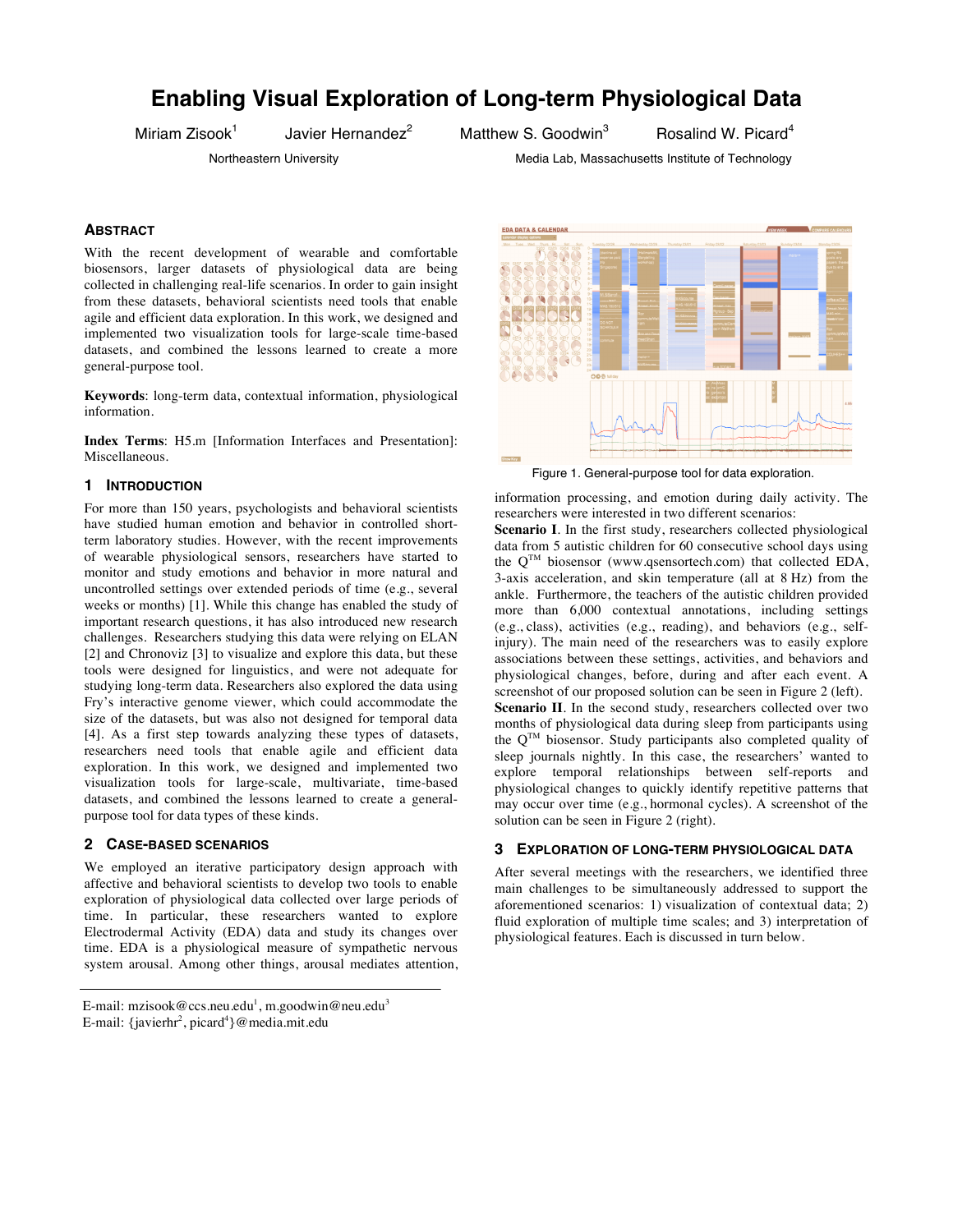# **Enabling Visual Exploration of Long-term Physiological Data**

Miriam Zisook<sup>1</sup>

Javier Hernandez<sup>2</sup>

Matthew S. Goodwin<sup>3</sup>

Rosalind W. Picard<sup>4</sup>

# Northeastern University **Music Communist Communist Communist Communist Communist Communist Communist Communist Communist Communist Communist Communist Communist Communist Communist Communist Communist Communist Communist C**

# **ABSTRACT**

With the recent development of wearable and comfortable biosensors, larger datasets of physiological data are being collected in challenging real-life scenarios. In order to gain insight from these datasets, behavioral scientists need tools that enable agile and efficient data exploration. In this work, we designed and implemented two visualization tools for large-scale time-based datasets, and combined the lessons learned to create a more general-purpose tool.

**Keywords**: long-term data, contextual information, physiological information.

**Index Terms**: H5.m [Information Interfaces and Presentation]: Miscellaneous.

# **1 INTRODUCTION**

For more than 150 years, psychologists and behavioral scientists have studied human emotion and behavior in controlled shortterm laboratory studies. However, with the recent improvements of wearable physiological sensors, researchers have started to monitor and study emotions and behavior in more natural and uncontrolled settings over extended periods of time (e.g., several weeks or months) [1]. While this change has enabled the study of important research questions, it has also introduced new research challenges. Researchers studying this data were relying on ELAN [2] and Chronoviz [3] to visualize and explore this data, but these tools were designed for linguistics, and were not adequate for studying long-term data. Researchers also explored the data using Fry's interactive genome viewer, which could accommodate the size of the datasets, but was also not designed for temporal data [4]. As a first step towards analyzing these types of datasets, researchers need tools that enable agile and efficient data exploration. In this work, we designed and implemented two visualization tools for large-scale, multivariate, time-based datasets, and combined the lessons learned to create a generalpurpose tool for data types of these kinds.

# **2 CASE-BASED SCENARIOS**

We employed an iterative participatory design approach with affective and behavioral scientists to develop two tools to enable exploration of physiological data collected over large periods of time. In particular, these researchers wanted to explore Electrodermal Activity (EDA) data and study its changes over time. EDA is a physiological measure of sympathetic nervous system arousal. Among other things, arousal mediates attention,



Figure 1. General-purpose tool for data exploration.

information processing, and emotion during daily activity. The researchers were interested in two different scenarios:

**Scenario I**. In the first study, researchers collected physiological data from 5 autistic children for 60 consecutive school days using the  $Q^{TM}$  biosensor (www.qsensortech.com) that collected EDA, 3-axis acceleration, and skin temperature (all at 8 Hz) from the ankle. Furthermore, the teachers of the autistic children provided more than 6,000 contextual annotations, including settings (e.g., class), activities (e.g., reading), and behaviors (e.g., selfinjury). The main need of the researchers was to easily explore associations between these settings, activities, and behaviors and physiological changes, before, during and after each event. A screenshot of our proposed solution can be seen in Figure 2 (left). **Scenario II**. In the second study, researchers collected over two months of physiological data during sleep from participants using the  $O<sup>TM</sup>$  biosensor. Study participants also completed quality of sleep journals nightly. In this case, the researchers' wanted to explore temporal relationships between self-reports and physiological changes to quickly identify repetitive patterns that may occur over time (e.g., hormonal cycles). A screenshot of the solution can be seen in Figure 2 (right).

#### **3 EXPLORATION OF LONG-TERM PHYSIOLOGICAL DATA**

After several meetings with the researchers, we identified three main challenges to be simultaneously addressed to support the aforementioned scenarios: 1) visualization of contextual data; 2) fluid exploration of multiple time scales; and 3) interpretation of physiological features. Each is discussed in turn below.

E-mail: mzisook@ccs.neu.edu<sup>1</sup>, m.goodwin@neu.edu<sup>3</sup> E-mail: {javierhr<sup>2</sup>, picard<sup>4</sup>}@media.mit.edu